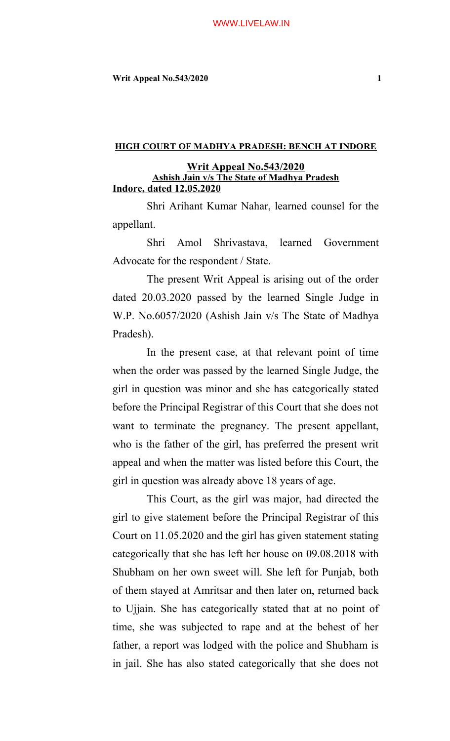# **Writ Appeal No.543/2020** 1

## **HIGH COURT OF MADHYA PRADESH: BENCH AT INDORE**

# **Writ Appeal No.543/2020 Ashish Jain v/s The State of Madhya Pradesh Indore, dated 12.05.2020**

Shri Arihant Kumar Nahar, learned counsel for the appellant.

Shri Amol Shrivastava, learned Government Advocate for the respondent / State.

The present Writ Appeal is arising out of the order dated 20.03.2020 passed by the learned Single Judge in W.P. No.6057/2020 (Ashish Jain v/s The State of Madhya Pradesh).

In the present case, at that relevant point of time when the order was passed by the learned Single Judge, the girl in question was minor and she has categorically stated before the Principal Registrar of this Court that she does not want to terminate the pregnancy. The present appellant, who is the father of the girl, has preferred the present writ appeal and when the matter was listed before this Court, the girl in question was already above 18 years of age.

This Court, as the girl was major, had directed the girl to give statement before the Principal Registrar of this Court on 11.05.2020 and the girl has given statement stating categorically that she has left her house on 09.08.2018 with Shubham on her own sweet will. She left for Punjab, both of them stayed at Amritsar and then later on, returned back to Ujjain. She has categorically stated that at no point of time, she was subjected to rape and at the behest of her father, a report was lodged with the police and Shubham is in jail. She has also stated categorically that she does not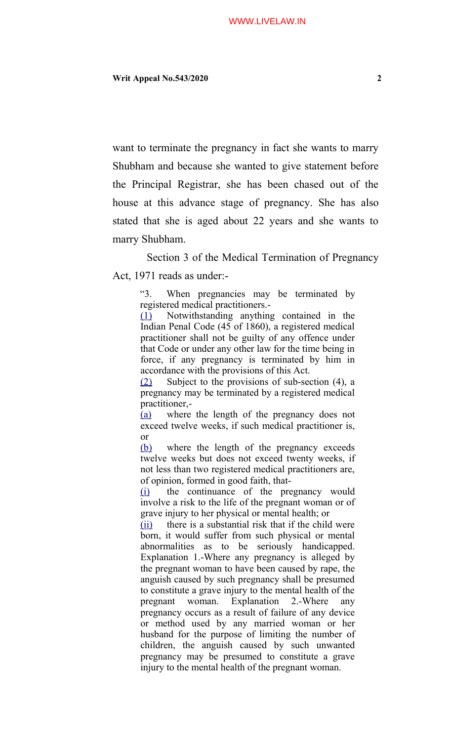want to terminate the pregnancy in fact she wants to marry Shubham and because she wanted to give statement before the Principal Registrar, she has been chased out of the house at this advance stage of pregnancy. She has also stated that she is aged about 22 years and she wants to marry Shubham.

Section 3 of the Medical Termination of Pregnancy Act, 1971 reads as under:-

> "3. When pregnancies may be terminated by registered medical practitioners.-

> [\(1\)](https://indiankanoon.org/doc/1331665/) Notwithstanding anything contained in the Indian Penal Code (45 of 1860), a registered medical practitioner shall not be guilty of any offence under that Code or under any other law for the time being in force, if any pregnancy is terminated by him in accordance with the provisions of this Act.

> [\(2\)](https://indiankanoon.org/doc/357331/) Subject to the provisions of sub-section (4), a pregnancy may be terminated by a registered medical practitioner,-

> [\(a\)](https://indiankanoon.org/doc/317964/) where the length of the pregnancy does not exceed twelve weeks, if such medical practitioner is, or

> [\(b\)](https://indiankanoon.org/doc/312960/) where the length of the pregnancy exceeds twelve weeks but does not exceed twenty weeks, if not less than two registered medical practitioners are, of opinion, formed in good faith, that-

> [\(i\)](https://indiankanoon.org/doc/681103/) the continuance of the pregnancy would involve a risk to the life of the pregnant woman or of grave injury to her physical or mental health; or

> [\(ii\)](https://indiankanoon.org/doc/444500/) there is a substantial risk that if the child were born, it would suffer from such physical or mental abnormalities as to be seriously handicapped. Explanation 1.-Where any pregnancy is alleged by the pregnant woman to have been caused by rape, the anguish caused by such pregnancy shall be presumed to constitute a grave injury to the mental health of the pregnant woman. Explanation 2.-Where any pregnancy occurs as a result of failure of any device or method used by any married woman or her husband for the purpose of limiting the number of children, the anguish caused by such unwanted pregnancy may be presumed to constitute a grave injury to the mental health of the pregnant woman.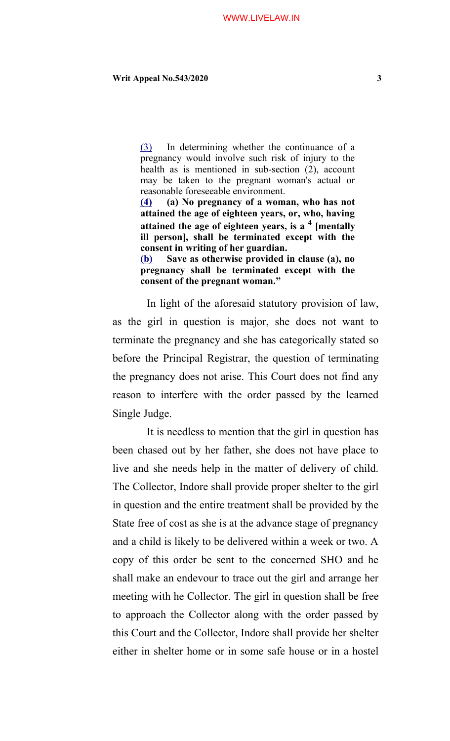# **Writ Appeal No.543/2020** 3

[\(3\)](https://indiankanoon.org/doc/568550/) In determining whether the continuance of a pregnancy would involve such risk of injury to the health as is mentioned in sub-section (2), account may be taken to the pregnant woman's actual or reasonable foreseeable environment.

**[\(4\)](https://indiankanoon.org/doc/403445/) (a) No pregnancy of a woman, who has not attained the age of eighteen years, or, who, having attained the age of eighteen years, is a 4 [mentally ill person], shall be terminated except with the consent in writing of her guardian.**

**[\(b\)](https://indiankanoon.org/doc/1585321/) Save as otherwise provided in clause (a), no pregnancy shall be terminated except with the consent of the pregnant woman."**

In light of the aforesaid statutory provision of law, as the girl in question is major, she does not want to terminate the pregnancy and she has categorically stated so before the Principal Registrar, the question of terminating the pregnancy does not arise. This Court does not find any reason to interfere with the order passed by the learned Single Judge.

It is needless to mention that the girl in question has been chased out by her father, she does not have place to live and she needs help in the matter of delivery of child. The Collector, Indore shall provide proper shelter to the girl in question and the entire treatment shall be provided by the State free of cost as she is at the advance stage of pregnancy and a child is likely to be delivered within a week or two. A copy of this order be sent to the concerned SHO and he shall make an endevour to trace out the girl and arrange her meeting with he Collector. The girl in question shall be free to approach the Collector along with the order passed by this Court and the Collector, Indore shall provide her shelter either in shelter home or in some safe house or in a hostel